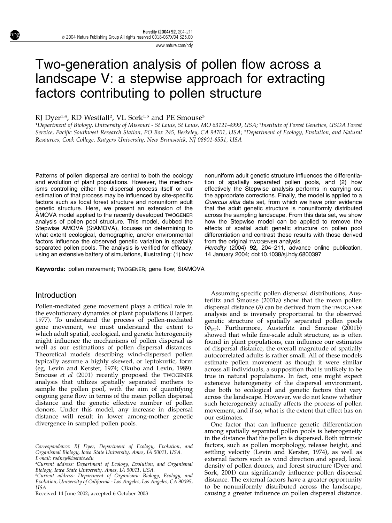www.nature.com/hdy

# Two-generation analysis of pollen flow across a landscape V: a stepwise approach for extracting factors contributing to pollen structure

#### RJ Dyer<sup>1,4</sup>, RD Westfall<sup>2</sup>, VL Sork<sup>1,5</sup> and PE Smouse<sup>3</sup>

1 Department of Biology, University of Missouri - St Louis, St Louis, MO 63121-4999, USA; <sup>2</sup> Institute of Forest Genetics, USDA Forest Service, Pacific Southwest Research Station, PO Box 245, Berkeley, CA 94701, USA; <sup>3</sup> Department of Ecology, Evolution, and Natural Resources, Cook College, Rutgers University, New Brunswick, NJ 08901-8551, USA

Patterns of pollen dispersal are central to both the ecology and evolution of plant populations. However, the mechanisms controlling either the dispersal process itself or our estimation of that process may be influenced by site-specific factors such as local forest structure and nonuniform adult genetic structure. Here, we present an extension of the AMOVA model applied to the recently developed TWOGENER analysis of pollen pool structure. This model, dubbed the Stepwise AMOVA (StAMOVA), focuses on determining to what extent ecological, demographic, and/or environmental factors influence the observed genetic variation in spatially separated pollen pools. The analysis is verified for efficacy, using an extensive battery of simulations, illustrating: (1) how

Keywords: pollen movement; TWOGENER; gene flow; StAMOVA

#### Introduction

Pollen-mediated gene movement plays a critical role in the evolutionary dynamics of plant populations (Harper, 1977). To understand the process of pollen-mediated gene movement, we must understand the extent to which adult spatial, ecological, and genetic heterogeneity might influence the mechanisms of pollen dispersal as well as our estimations of pollen dispersal distances. Theoretical models describing wind-dispersed pollen typically assume a highly skewed, or leptokurtic, form (eg, Levin and Kerster, 1974; Okubo and Levin, 1989). Smouse et al (2001) recently proposed the TWOGENER analysis that utilizes spatially separated mothers to sample the pollen pool, with the aim of quantifying ongoing gene flow in terms of the mean pollen dispersal distance and the genetic effective number of pollen donors. Under this model, any increase in dispersal distance will result in lower among-mother genetic divergence in sampled pollen pools.

nonuniform adult genetic structure influences the differentiation of spatially separated pollen pools, and (2) how effectively the Stepwise analysis performs in carrying out the appropriate corrections. Finally, the model is applied to a Quercus alba data set, from which we have prior evidence that the adult genetic structure is nonuniformly distributed across the sampling landscape. From this data set, we show how the Stepwise model can be applied to remove the effects of spatial adult genetic structure on pollen pool differentiation and contrast these results with those derived from the original TWOGENER analysis.

Heredity (2004) 92, 204-211, advance online publication, 14 January 2004; doi:10.1038/sj.hdy.6800397

Assuming specific pollen dispersal distributions, Austerlitz and Smouse (2001a) show that the mean pollen dispersal distance ( $\delta$ ) can be derived from the TWOGENER analysis and is inversely proportional to the observed genetic structure of spatially separated pollen pools  $(\Phi_{\text{FT}})$ . Furthermore, Austerlitz and Smouse (2001b) showed that while fine-scale adult structure, as is often found in plant populations, can influence our estimates of dispersal distance, the overall magnitude of spatially autocorrelated adults is rather small. All of these models estimate pollen movement as though it were similar across all individuals, a supposition that is unlikely to be true in natural populations. In fact, one might expect extensive heterogeneity of the dispersal environment, due both to ecological and genetic factors that vary across the landscape. However, we do not know whether such heterogeneity actually affects the process of pollen movement, and if so, what is the extent that effect has on our estimates.

One factor that can influence genetic differentiation among spatially separated pollen pools is heterogeneity in the distance that the pollen is dispersed. Both intrinsic factors, such as pollen morphology, release height, and settling velocity (Levin and Kerster, 1974), as well as external factors such as wind direction and speed, local density of pollen donors, and forest structure (Dyer and Sork, 2001) can significantly influence pollen dispersal distance. The external factors have a greater opportunity to be nonuniformly distributed across the landscape, Received 14 June 2002; accepted 6 October 2003 causing a greater influence on pollen dispersal distance.

Correspondence: RJ Dyer, Department of Ecology, Evolution, and Organismal Biology, Iowa State University, Ames, IA 50011, USA. E-mail: rodney@iastate.edu

<sup>4</sup> Current address: Department of Ecology, Evolution, and Organismal Biology, Iowa State University, Ames, IA 50011, USA.

<sup>5</sup> Current address: Department of Organismic Biology, Ecology, and Evolution, University of California - Los Angeles, Los Angeles, CA 90095, USA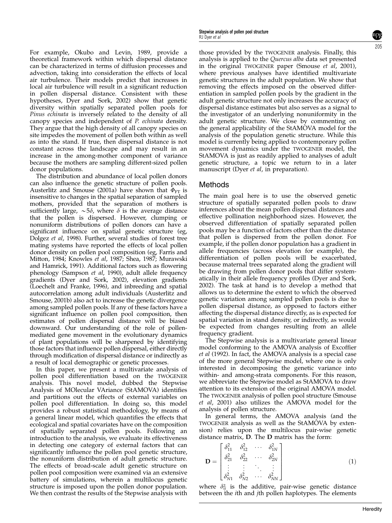For example, Okubo and Levin, 1989, provide a theoretical framework within which dispersal distance can be characterized in terms of diffusion processes and advection, taking into consideration the effects of local air turbulence. Their models predict that increases in local air turbulence will result in a significant reduction in pollen dispersal distance. Consistent with these hypotheses, Dyer and Sork, 2002) show that genetic diversity within spatially separated pollen pools for Pinus echinata is inversely related to the density of all canopy species and independent of P. echinata density. They argue that the high density of all canopy species on site impedes the movement of pollen both within as well as into the stand. If true, then dispersal distance is not constant across the landscape and may result in an increase in the among-mother component of variance because the mothers are sampling different-sized pollen donor populations.

The distribution and abundance of local pollen donors can also influence the genetic structure of pollen pools. Austerlitz and Smouse (2001a) have shown that  $\Phi_{\text{FT}}$  is insensitive to changes in the spatial separation of sampled mothers, provided that the separation of mothers is sufficiently large,  $\sim 5\delta$ , where  $\delta$  is the average distance that the pollen is dispersed. However, clumping or nonuniform distributions of pollen donors can have a significant influence on spatial genetic structure (eg, Dolgez et al, 1998). Further, several studies of forest tree mating systems have reported the effects of local pollen donor density on pollen pool composition (eg, Farris and Mitton, 1984; Knowles et al, 1987; Shea, 1987; Murawski and Hamrick, 1991). Additional factors such as flowering phenology (Sampson et al, 1990), adult allele frequency gradients (Dyer and Sork, 2002), elevation gradients (Loechelt and Franke, 1996), and inbreeding and spatial autocorrelation among adult individuals (Austerlitz and Smouse, 2001b) also act to increase the genetic divergence among sampled pollen pools. If any of these factors have a significant influence on pollen pool composition, then estimates of pollen dispersal distance will be biased downward. Our understanding of the role of pollenmediated gene movement in the evolutionary dynamics of plant populations will be sharpened by identifying those factors that influence pollen dispersal, either directly through modification of dispersal distance or indirectly as a result of local demographic or genetic processes.

In this paper, we present a multivariate analysis of pollen pool differentiation based on the TWOGENER analysis. This novel model, dubbed the Stepwise Analysis of MOlecular VAriance (StAMOVA) identifies and partitions out the effects of external variables on pollen pool differentiation. In doing so, this model provides a robust statistical methodology, by means of a general linear model, which quantifies the effects that ecological and spatial covariates have on the composition of spatially separated pollen pools. Following an introduction to the analysis, we evaluate its effectiveness in detecting one category of external factors that can significantly influence the pollen pool genetic structure, the nonuniform distribution of adult genetic structure. The effects of broad-scale adult genetic structure on pollen pool composition were examined via an extensive battery of simulations, wherein a multilocus genetic structure is imposed upon the pollen donor population. We then contrast the results of the Stepwise analysis with those provided by the TWOGENER analysis. Finally, this analysis is applied to the Quercus alba data set presented in the original TWOGENER paper (Smouse et al, 2001), where previous analyses have identified multivariate genetic structures in the adult population. We show that removing the effects imposed on the observed differentiation in sampled pollen pools by the gradient in the adult genetic structure not only increases the accuracy of dispersal distance estimates but also serves as a signal to the investigator of an underlying nonuniformity in the adult genetic structure. We close by commenting on the general applicability of the StAMOVA model for the analysis of the population genetic structure. While this model is currently being applied to contemporary pollen movement dynamics under the TWOGENER model, the StAMOVA is just as readily applied to analyses of adult genetic structure, a topic we return to in a later manuscript (Dyer *et al*, in preparation).

# Methods

The main goal here is to use the observed genetic structure of spatially separated pollen pools to draw inferences about the mean pollen dispersal distances and effective pollination neighborhood sizes. However, the observed differentiation of spatially separated pollen pools may be a function of factors other than the distance that pollen is dispersed from the pollen donor. For example, if the pollen donor population has a gradient in allele frequencies (across elevation for example), the differentiation of pollen pools will be exacerbated, because maternal trees separated along the gradient will be drawing from pollen donor pools that differ systematically in their allele frequency profiles (Dyer and Sork, 2002). The task at hand is to develop a method that allows us to determine the extent to which the observed genetic variation among sampled pollen pools is due to pollen dispersal distance, as opposed to factors either affecting the dispersal distance directly, as is expected for spatial variation in stand density, or indirectly, as would be expected from changes resulting from an allele frequency gradient.

The Stepwise analysis is a multivariate general linear model conforming to the AMOVA analysis of Excoffier et al (1992). In fact, the AMOVA analysis is a special case of the more general Stepwise model, where one is only interested in decomposing the genetic variance into within- and among-strata components. For this reason, we abbreviate the Stepwise model as StAMOVA to draw attention to its extension of the original AMOVA model. The TWOGENER analysis of pollen pool structure (Smouse et al, 2001) also utilizes the AMOVA model for the analysis of pollen structure.

In general terms, the AMOVA analysis (and the TWOGENER analysis as well as the StAMOVA by extension) relies upon the multilocus pair-wise genetic distance matrix, D. The D matrix has the form:

$$
\mathbf{D} = \begin{bmatrix} \delta_{11}^2 & \delta_{12}^2 & \cdots & \delta_{1N}^2 \\ \delta_{21}^2 & \delta_{22}^2 & \cdots & \delta_{2N}^2 \\ \vdots & \vdots & \ddots & \vdots \\ \delta_{N1}^2 & \delta_{N2}^2 & \cdots & \delta_{NN}^2 \end{bmatrix}
$$
(1)

where  $\delta_{ij}^2$  is the additive, pair-wise genetic distance between the ith and jth pollen haplotypes. The elements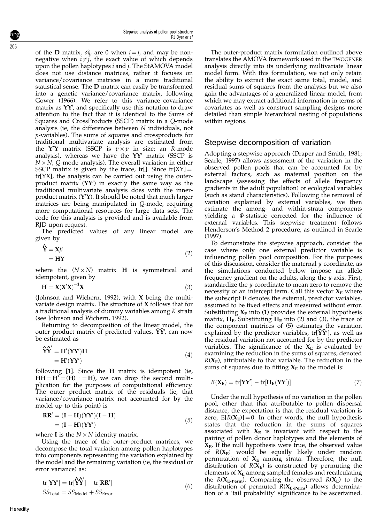of the **D** matrix,  $\delta_{ij}^2$ , are 0 when  $i = j$ , and may be nonnegative when  $i \neq j$ , the exact value of which depends upon the pollen haplotypes  $i$  and  $j$ . The StAMOVA model does not use distance matrices, rather it focuses on variance/covariance matrices in a more traditional statistical sense. The D matrix can easily be transformed into a genetic variance/covariance matrix, following Gower (1966). We refer to this variance–covariance matrix as  $YY'$ , and specifically use this notation to draw attention to the fact that it is identical to the Sums of Squares and CrossProducts (SSCP) matrix in a Q-mode analysis (ie, the differences between N individuals, not p-variables). The sums of squares and crossproducts for traditional multivariate analysis are estimated from the Y'Y matrix (SSCP is  $p \times p$  in size; an R-mode analysis), whereas we have the  $YY'$  matrix (SSCP is  $N \times N$ ; Q-mode analysis). The overall variation in either SSCP matrix is given by the trace, tr[]. Since  $tr[XY] =$ tr[YX], the analysis can be carried out using the outerproduct matrix  $(YY')$  in exactly the same way as the traditional multivariate analysis does with the innerproduct matrix  $(Y'Y)$ . It should be noted that much larger matrices are being manipulated in Q-mode, requiring more computational resources for large data sets. The code for this analysis is provided and is available from RJD upon request.

The predicted values of any linear model are given by

$$
\hat{\mathbf{Y}} = \mathbf{X}\beta
$$
\n
$$
= \mathbf{H}\mathbf{Y}
$$
\n(2)

where the  $(N \times N)$  matrix **H** is symmetrical and idempotent, given by

$$
\mathbf{H} = \mathbf{X} (\mathbf{X}' \mathbf{X})^{-1} \mathbf{X} \tag{3}
$$

(Johnson and Wichern, 1992), with  $X$  being the multivariate design matrix. The structure of X follows that for a traditional analysis of dummy variables among K strata (see Johnson and Wichern, 1992).

Returning to decomposition of the linear model, the outer product matrix of predicted values,  $\hat{Y} \hat{Y}'$ , can now be estimated as

$$
\begin{aligned} \mathbf{\hat{Y}}\mathbf{\hat{Y}}' &= \mathbf{H}'(\mathbf{Y}\mathbf{Y}')\mathbf{H} \\ &= \mathbf{H}'(\mathbf{Y}\mathbf{Y}') \end{aligned} \tag{4}
$$

following [1]. Since the H matrix is idempotent (ie,  $HH = H^{0} = (H)^{-1} = H$ , we can drop the second multiplication for the purposes of computational efficiency. The outer product matrix of the residuals (ie, that variance/covariance matrix not accounted for by the model up to this point) is

$$
RR' = (I - H)(YY')(I - H)
$$
  
= (I - H)(YY') (I

where I is the  $N \times N$  identity matrix.

Using the trace of the outer-product matrices, we decompose the total variation among pollen haplotypes into components representing the variation explained by the model and the remaining variation (ie, the residual or error variance) as:

$$
tr[\mathbf{YY'}] = tr[\mathbf{\hat{Y}\hat{Y}}'] + tr[\mathbf{RR'}]
$$
  
\n
$$
SS_{\text{Total}} = SS_{\text{Model}} + SS_{\text{Error}}
$$
\n(6)

The outer-product matrix formulation outlined above translates the AMOVA framework used in the TWOGENER analysis directly into its underlying multivariate linear model form. With this formulation, we not only retain the ability to extract the exact same total, model, and residual sums of squares from the analysis but we also gain the advantages of a generalized linear model, from which we may extract additional information in terms of covariates as well as construct sampling designs more detailed than simple hierarchical nesting of populations within regions.

#### Stepwise decomposition of variation

Adopting a stepwise approach (Draper and Smith, 1981; Searle, 1997) allows assessment of the variation in the observed pollen pools that can be accounted for by external factors, such as maternal position on the landscape (assessing the effects of allele frequency gradients in the adult population) or ecological variables (such as stand characteristics). Following the removal of variation explained by external variables, we then estimate the among- and within-strata components yielding a  $\Phi$ -statistic corrected for the influence of external variables. This stepwise treatment follows Henderson's Method 2 procedure, as outlined in Searle (1997).

To demonstrate the stepwise approach, consider the case where only one external predictor variable is influencing pollen pool composition. For the purposes of this discussion, consider the maternal y-coordinate, as the simulations conducted below impose an allele frequency gradient on the adults, along the  $y$ -axis. First, standardize the y-coordinate to mean zero to remove the necessity of an intercept term. Call this vector  $X_E$  where the subscript E denotes the external, predictor variables, assumed to be fixed effects and measured without error. Substituting  $X_E$  into (1) provides the external hypothesis matrix,  $H_E$ . Substituting  $H_E$  into (2) and (3), the trace of the component matrices of (5) estimates the variation explained by the predictor variables, tr[ $\hat{\mathbf{Y}}\hat{\mathbf{Y}}'$ ], as well as the residual variation not accounted for by the predictor variables. The significance of the  $X_{E}$  is evaluated by examining the reduction in the sums of squares, denoted  $R(X<sub>E</sub>)$ , attributable to that variable. The reduction in the sums of squares due to fitting  $X_E$  to the model is:

$$
R(\mathbf{X}_E) = tr[\mathbf{Y}\mathbf{Y}'] - tr[\mathbf{H}_E(\mathbf{Y}\mathbf{Y}')] \tag{7}
$$

Under the null hypothesis of no variation in the pollen pool, other than that attributable to pollen dispersal distance, the expectation is that the residual variation is zero,  $E[R(X_E)] = 0$ . In other words, the null hypothesis states that the reduction in the sums of squares associated with  $X_E$  is invariant with respect to the pairing of pollen donor haplotypes and the elements of  $X_{E}$ . If the null hypothesis were true, the observed value of  $R(X_E)$  would be equally likely under random permutation of  $X_E$  among strata. Therefore, the null distribution of  $R(X_E)$  is constructed by permuting the elements of  $X_E$  among sampled females and recalculating the  $R(X_{E-Perm})$ . Comparing the observed  $R(X_{E})$  to the distribution of permuted  $R(X_{E-Perm})$  allows determination of a 'tail probability' significance to be ascertained.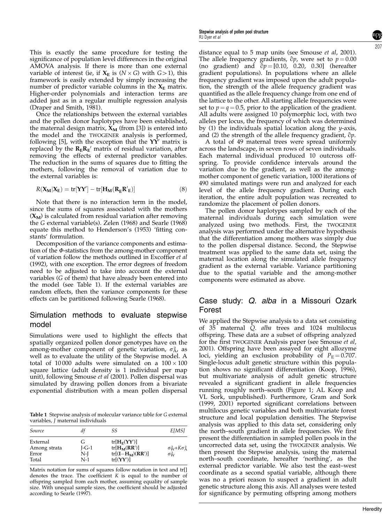This is exactly the same procedure for testing the significance of population level differences in the original AMOVA analysis. If there is more than one external variable of interest (ie, if  $X_E$  is  $(N \times G)$  with  $G>1$ ), this framework is easily extended by simply increasing the number of predictor variable columns in the  $X_E$  matrix. Higher-order polynomials and interaction terms are added just as in a regular multiple regression analysis (Draper and Smith, 1981).

Once the relationships between the external variables and the pollen donor haplotypes have been established, the maternal design matrix,  $X_M$  (from [3]) is entered into the model and the TWOGENER analysis is performed, following [5], with the exception that the  $Y\hat{Y}'$  matrix is replaced by the  $R_E R_E'$  matrix of residual variation, after removing the effects of external predictor variables. The reduction in the sums of squares due to fitting the mothers, following the removal of variation due to the external variables is:

$$
R(\mathbf{X}_{\mathbf{M}}|\mathbf{X}_{\mathbf{E}}) = \text{tr}[\mathbf{Y}\mathbf{Y}'] - \text{tr}[\mathbf{H}_{\mathbf{M}}(\mathbf{R}_{\mathbf{E}}\mathbf{R}'_{\mathbf{E}})]
$$
(8)

Note that there is no interaction term in the model, since the sums of squares associated with the mothers  $(X_M)$  is calculated from residual variation after removing the G external variable(s). Zelen (1968) and Searle (1968) equate this method to Henderson's (1953) 'fitting constants' formulation.

Decomposition of the variance components and estimation of the  $\Phi$ -statistics from the among-mother component of variation follow the methods outlined in Excoffier et al (1992), with one exception. The error degrees of freedom need to be adjusted to take into account the external variables (G of them) that have already been entered into the model (see Table 1). If the external variables are random effects, then the variance components for these effects can be partitioned following Searle (1968).

#### Simulation methods to evaluate stepwise model

Simulations were used to highlight the effects that spatially organized pollen donor genotypes have on the among-mother component of genetic variation,  $\sigma_A^2$ , as well as to evaluate the utility of the Stepwise model. A total of 10000 adults were simulated on a  $100 \times 100$ square lattice (adult density is 1 individual per map unit), following Smouse et al (2001). Pollen dispersal was simulated by drawing pollen donors from a bivariate exponential distribution with a mean pollen dispersal

Table 1 Stepwise analysis of molecular variance table for G external variables, J maternal individuals

| Source                                     | df                        | SS                                                                                      | <b>EIMSI</b>                                            |
|--------------------------------------------|---------------------------|-----------------------------------------------------------------------------------------|---------------------------------------------------------|
| External<br>Among strata<br>Error<br>Total | G<br>$IG-1$<br>N-I<br>N-1 | $tr[H_F(YY')]$<br>$tr[H_M(RR')]$<br>$tr[(I-H_M)(RR')]$<br>$tr[(\mathbf{Y}\mathbf{Y}')]$ | $\sigma_{\rm W}^2 + K \sigma_{\rm A}^2$<br>$\sigma_W^2$ |

Matrix notation for sums of squares follow notation in text and tr[] denotes the trace. The coefficient  $K$  is equal to the number of offspring sampled from each mother, assuming equality of sample size. With unequal sample sizes, the coefficient should be adjusted according to Searle (1997).

distance equal to 5 map units (see Smouse et al, 2001). The allele frequency gradients,  $\partial p$ , were set to  $p = 0.00$ (no gradient) and  $\delta p = [0.10, 0.20, 0.30]$  (hereafter gradient populations). In populations where an allele frequency gradient was imposed upon the adult population, the strength of the allele frequency gradient was quantified as the allele frequency change from one end of the lattice to the other. All starting allele frequencies were set to  $p = q = 0.5$ , prior to the application of the gradient. All adults were assigned 10 polymorphic loci, with two alleles per locus, the frequency of which was determined by (1) the individuals spatial location along the y-axis, and (2) the strength of the allele frequency gradient,  $\partial p$ .

A total of 49 maternal trees were spread uniformly across the landscape, in seven rows of seven individuals. Each maternal individual produced 10 outcross offspring. To provide confidence intervals around the variation due to the gradient, as well as the amongmother component of genetic variation, 1000 iterations of 490 simulated matings were run and analyzed for each level of the allele frequency gradient. During each iteration, the entire adult population was recreated to randomize the placement of pollen donors.

The pollen donor haplotypes sampled by each of the maternal individuals during each simulation were analyzed using two methods. First, the TWOGENER analysis was performed under the alternative hypothesis that the differentiation among mothers was simply due to the pollen dispersal distance. Second, the Stepwise treatment was applied to the same data set, using the maternal location along the simulated allele frequency gradient as the external variable. Variance partitioning due to the spatial variable and the among-mother components were estimated as above.

# Case study: Q. alba in a Missouri Ozark Forest

We applied the Stepwise analysis to a data set consisting of 35 maternal Q. alba trees and 1024 multilocus offspring. These data are a subset of offspring analyzed for the first TWOGENER Analysis paper (see Smouse et al, 2001). Offspring have been assayed for eight allozyme loci, yielding an exclusion probability of  $P_{\rm E}$  = 0.707. Single-locus adult genetic structure within this population shows no significant differentiation (Koop, 1996), but multivariate analysis of adult genetic structure revealed a significant gradient in allele frequencies running roughly north–south (Figure 1; AL Koop and VL Sork, unpublished). Furthermore, Gram and Sork (1999, 2001) reported significant correlations between multilocus genetic variables and both multivariate forest structure and local population densities. The Stepwise analysis was applied to this data set, considering only the north–south gradient in allele frequencies. We first present the differentiation in sampled pollen pools in the uncorrected data set, using the TWOGENER analysis. We then present the Stepwise analysis, using the maternal north–south coordinate, hereafter 'northing', as the external predictor variable. We also test the east–west coordinate as a second spatial variable, although there was no a priori reason to suspect a gradient in adult genetic structure along this axis. All analyses were tested for significance by permuting offspring among mothers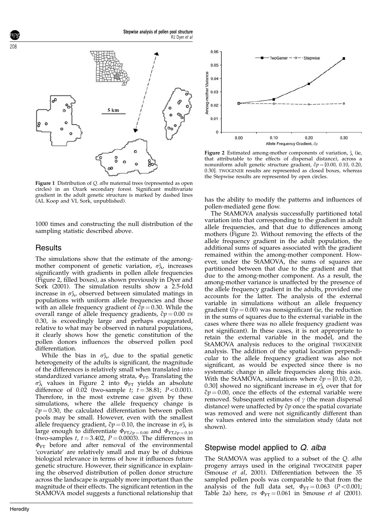

Figure 1 Distribution of Q. alba maternal trees (represented as open circles) in an Ozark secondary forest. Significant multivariate gradient in the adult genetic structure is marked by dashed lines (AL Koop and VL Sork, unpublished).

1000 times and constructing the null distribution of the sampling statistic described above.

# **Results**

The simulations show that the estimate of the amongmother component of genetic variation,  $\sigma_A^2$ , increases significantly with gradients in pollen allele frequencies (Figure 2, filled boxes), as shown previously in Dyer and Sork (2001). The simulation results show a 2.5-fold increase in  $\sigma_A^2$ , observed between simulated matings in populations with uniform allele frequencies and those with an allele frequency gradient of  $\tilde{\sigma}p = 0.30$ . While the overall range of allele frequency gradients,  $\partial p = 0.00$  vs 0.30, is exceedingly large and perhaps exaggerated, relative to what may be observed in natural populations, it clearly shows how the genetic constitution of the pollen donors influences the observed pollen pool differentiation.

While the bias in  $\sigma_A^2$ , due to the spatial genetic heterogeneity of the adults is significant, the magnitude of the differences is relatively small when translated into standardized variance among strata,  $\Phi_{\text{FT}}$ . Translating the  $\sigma_A^2$  values in Figure 2 into  $\Phi_{FT}$  yields an absolute difference of 0.02 (two-sample *t*;  $t = 38.81$ ;  $P < 0.001$ ). Therefore, in the most extreme case given by these simulations, where the allele frequency change is  $\partial p = 0.30$ , the calculated differentiation between pollen pools may be small. However, even with the smallest allele frequency gradient,  $\partial p = 0.10$ , the increase in  $\sigma$ <sup>2</sup> is large enough to differentiate  $\varPhi_{\mathrm{FT},\widehat{\mathrm{c}}p = 0.00}$  and  $\varPhi_{\mathrm{FT},\widehat{\mathrm{c}}p = 0.10}$ (two-samples t,  $t = 3.402$ ,  $P = 0.0003$ ). The differences in  $\Phi_{\text{FT}}$  before and after removal of the environmental 'covariate' are relatively small and may be of dubious biological relevance in terms of how it influences future genetic structure. However, their significance in explaining the observed distribution of pollen donor structure across the landscape is arguably more important than the magnitude of their effects. The significant retention in the StAMOVA model suggests a functional relationship that



Figure 2 Estimated among-mother components of variation,  $\frac{2}{A}$  (ie, that attributable to the effects of dispersal distance), across a nonuniform adult genetic structure gradient,  $\partial p = [0.00, 0.10, 0.20,$ 0.30]. TWOGENER results are represented as closed boxes, whereas the Stepwise results are represented by open circles.

has the ability to modify the patterns and influences of pollen-mediated gene flow.

The StAMOVA analysis successfully partitioned total variation into that corresponding to the gradient in adult allele frequencies, and that due to differences among mothers (Figure 2). Without removing the effects of the allele frequency gradient in the adult population, the additional sums of squares associated with the gradient remained within the among-mother component. However, under the StAMOVA, the sums of squares are partitioned between that due to the gradient and that due to the among-mother component. As a result, the among-mother variance is unaffected by the presence of the allele frequency gradient in the adults, provided one accounts for the latter. The analysis of the external variable in simulations without an allele frequency gradient ( $\partial p = 0.00$ ) was nonsignificant (ie, the reduction in the sums of squares due to the external variable in the cases where there was no allele frequency gradient was not significant). In these cases, it is not appropriate to retain the external variable in the model, and the StAMOVA analysis reduces to the original TWOGENER analysis. The addition of the spatial location perpendicular to the allele frequency gradient was also not significant, as would be expected since there is no systematic change in allele frequencies along this axis. With the StAMOVA, simulations where  $\partial p = [0.10, 0.20,$ 0.30] showed no significant increase in  $\sigma_A^2$  over that for  $\partial p = 0.00$ , once the effects of the external variable were removed. Subsequent estimates of  $\gamma$  (the mean dispersal distance) were unaffected by  $\partial p$  once the spatial covariate was removed and were not significantly different than the values entered into the simulation study (data not shown).

#### Stepwise model applied to Q. alba

The StAMOVA was applied to a subset of the Q. alba progeny arrays used in the original TWOGENER paper (Smouse et al, 2001). Differentiation between the 35 sampled pollen pools was comparable to that from the analysis of the full data set,  $\Phi_{\text{FT}} = 0.063$  (P < 0.001; Table 2a) here, vs  $\Phi_{\text{FT}} = 0.061$  in Smouse *et al* (2001).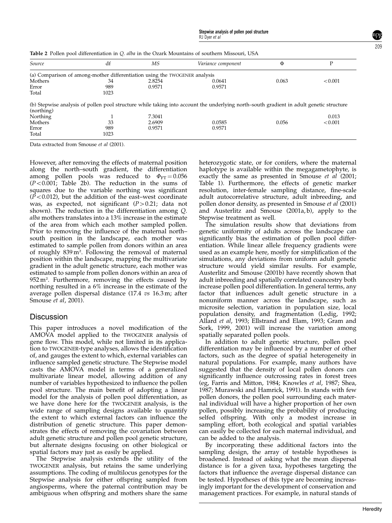Table 2 Pollen pool differentiation in *O. alba* in the Ozark Mountains of southern Missouri, USA

| Source     | df                                                                         | МS     | Variance component                                                                                                                      | Φ     |         |
|------------|----------------------------------------------------------------------------|--------|-----------------------------------------------------------------------------------------------------------------------------------------|-------|---------|
|            | (a) Comparison of among-mother differentiation using the TWOGENER analysis |        |                                                                                                                                         |       |         |
| Mothers    | 34                                                                         | 2.8254 | 0.0641                                                                                                                                  | 0.063 | < 0.001 |
| Error      | 989                                                                        | 0.9571 | 0.9571                                                                                                                                  |       |         |
| Total      | 1023                                                                       |        |                                                                                                                                         |       |         |
| (northing) |                                                                            |        | (b) Stepwise analysis of pollen pool structure while taking into account the underlying north–south gradient in adult genetic structure |       |         |
| Northing   |                                                                            | 7.3041 |                                                                                                                                         |       | 0.013   |
| Mothers    | 33                                                                         | 2.6909 | 0.0585                                                                                                                                  | 0.056 | < 0.001 |
| Error      | 989                                                                        | 0.9571 | 0.9571                                                                                                                                  |       |         |
| Total      | 1023                                                                       |        |                                                                                                                                         |       |         |

Data extracted from Smouse et al (2001).

However, after removing the effects of maternal position along the north–south gradient, the differentiation among pollen pools was reduced to  $\Phi_{\text{FT}} = 0.056$  $(P<0.001$ ; Table 2b). The reduction in the sums of squares due to the variable northing was significant  $(P<0.012)$ , but the addition of the east–west coordinate was, as expected, not significant  $(P>0.21$ ; data not shown). The reduction in the differentiation among Q. alba mothers translates into a 13% increase in the estimate of the area from which each mother sampled pollen. Prior to removing the influence of the maternal north– south position in the landscape, each mother was estimated to sample pollen from donors within an area of roughly 839 m<sup>2</sup>. Following the removal of maternal position within the landscape, mapping the multivariate gradient in the adult genetic structure, each mother was estimated to sample from pollen donors within an area of 952 m<sup>2</sup>. Furthermore, removing the effects caused by northing resulted in a 6% increase in the estimate of the average pollen dispersal distance (17.4 vs 16.3 m; after Smouse et al, 2001).

# Discussion

This paper introduces a novel modification of the AMOVA model applied to the TWOGENER analysis of gene flow. This model, while not limited in its application to TWOGENER-type analyses, allows the identification of, and gauges the extent to which, external variables can influence sampled genetic structure. The Stepwise model casts the AMOVA model in terms of a generalized multivariate linear model, allowing addition of any number of variables hypothesized to influence the pollen pool structure. The main benefit of adopting a linear model for the analysis of pollen pool differentiation, as we have done here for the TWOGENER analysis, is the wide range of sampling designs available to quantify the extent to which external factors can influence the distribution of genetic structure. This paper demonstrates the effects of removing the covariation between adult genetic structure and pollen pool genetic structure, but alternate designs focusing on other biological or spatial factors may just as easily be applied.

The Stepwise analysis extends the utility of the TWOGENER analysis, but retains the same underlying assumptions. The coding of multilocus genotypes for the Stepwise analysis for either offspring sampled from angiosperms, where the paternal contribution may be ambiguous when offspring and mothers share the same heterozygotic state, or for conifers, where the maternal haplotype is available within the megagametophyte, is exactly the same as presented in Smouse et al (2001; Table 1). Furthermore, the effects of genetic marker resolution, inter-female sampling distance, fine-scale adult autocorrelative structure, adult inbreeding, and pollen donor density, as presented in Smouse et al (2001) and Austerlitz and Smouse (2001a, b), apply to the Stepwise treatment as well.

The simulation results show that deviations from genetic uniformity of adults across the landscape can significantly bias the estimation of pollen pool differentiation. While linear allele frequency gradients were used as an example here, mostly for simplification of the simulations, any deviations from uniform adult genetic structure would yield similar results. For example, Austerlitz and Smouse (2001b) have recently shown that adult inbreeding and spatially correlated coancestry both increase pollen pool differentiation. In general terms, any factor that influences adult genetic structure in a nonuniform manner across the landscape, such as microsite selection, variation in population size, local population density, and fragmentation (Ledig, 1992; Allard et al, 1993; Ellstrand and Elam, 1993; Gram and Sork, 1999, 2001) will increase the variation among spatially separated pollen pools.

In addition to adult genetic structure, pollen pool differentiation may be influenced by a number of other factors, such as the degree of spatial heterogeneity in natural populations. For example, many authors have suggested that the density of local pollen donors can significantly influence outcrossing rates in forest trees (eg, Farris and Mitton, 1984; Knowles et al, 1987; Shea, 1987; Murawski and Hamrick, 1991). In stands with few pollen donors, the pollen pool surrounding each maternal individual will have a higher proportion of her own pollen, possibly increasing the probability of producing selfed offspring. With only a modest increase in sampling effort, both ecological and spatial variables can easily be collected for each maternal individual, and can be added to the analysis.

By incorporating these additional factors into the sampling design, the array of testable hypotheses is broadened. Instead of asking what the mean dispersal distance is for a given taxa, hypotheses targeting the factors that influence the average dispersal distance can be tested. Hypotheses of this type are becoming increasingly important for the development of conservation and management practices. For example, in natural stands of 209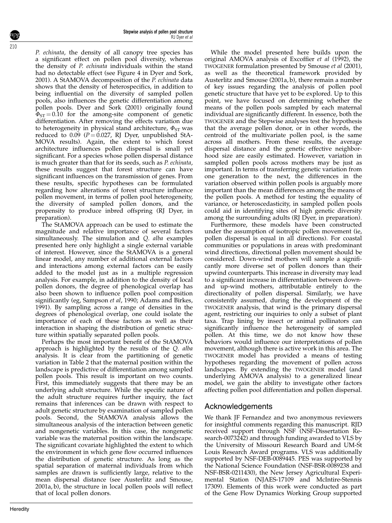P. echinata, the density of all canopy tree species has a significant effect on pollen pool diversity, whereas the density of P. echinata individuals within the stand had no detectable effect (see Figure 4 in Dyer and Sork, 2001). A StAMOVA decomposition of the P. echinata data shows that the density of heterospecifics, in addition to being influential on the diversity of sampled pollen pools, also influences the genetic differentiation among pollen pools. Dyer and Sork (2001) originally found  $\Phi_{ST} = 0.10$  for the among-site component of genetic differentiation. After removing the effects variation due to heterogeneity in physical stand architecture,  $\Phi_{ST}$  was reduced to 0.09 ( $P = 0.027$ , RJ Dyer, unpublished StA-MOVA results). Again, the extent to which forest architecture influences pollen dispersal is small yet significant. For a species whose pollen dispersal distance is much greater than that for its seeds, such as P. echinata, these results suggest that forest structure can have significant influences on the transmission of genes. From these results, specific hypotheses can be formulated regarding how alterations of forest structure influence pollen movement, in terms of pollen pool heterogeneity, the diversity of sampled pollen donors, and the propensity to produce inbred offspring (RJ Dyer, in preparation).

The StAMOVA approach can be used to estimate the magnitude and relative importance of several factors simultaneously. The simulation and Q. alba examples presented here only highlight a single external variable of interest. However, since the StAMOVA is a general linear model, any number of additional external factors and interactions among external factors can be easily added to the model just as in a multiple regression analysis. For example, in addition to the density of local pollen donors, the degree of phenological overlap has also been shown to influence pollen pool composition significantly (eg, Sampson et al, 1990; Adams and Birkes, 1991). By sampling across a range of densities in the degrees of phenological overlap, one could isolate the importance of each of these factors as well as their interaction in shaping the distribution of genetic structure within spatially separated pollen pools.

Perhaps the most important benefit of the StAMOVA approach is highlighted by the results of the  $Q$ . alba analysis. It is clear from the partitioning of genetic variation in Table 2 that the maternal position within the landscape is predictive of differentiation among sampled pollen pools. This result is important on two counts. First, this immediately suggests that there may be an underlying adult structure. While the specific nature of the adult structure requires further inquiry, the fact remains that inferences can be drawn with respect to adult genetic structure by examination of sampled pollen pools. Second, the StAMOVA analysis allows the simultaneous analysis of the interaction between genetic and nongenetic variables. In this case, the nongenetic variable was the maternal position within the landscape. The significant covariate highlighted the extent to which the environment in which gene flow occurred influences the distribution of genetic structure. As long as the spatial separation of maternal individuals from which samples are drawn is sufficiently large, relative to the mean dispersal distance (see Austerlitz and Smouse, 2001a, b), the structure in local pollen pools will reflect that of local pollen donors.

While the model presented here builds upon the original AMOVA analysis of Excoffier et al (1992), the TWOGENER formulation presented by Smouse et al (2001), as well as the theoretical framework provided by Austerlitz and Smouse (2001a, b), there remain a number of key issues regarding the analysis of pollen pool genetic structure that have yet to be explored. Up to this point, we have focused on determining whether the means of the pollen pools sampled by each maternal individual are significantly different. In essence, both the TWOGENER and the Stepwise analyses test the hypothesis that the average pollen donor, or in other words, the centroid of the multivariate pollen pool, is the same across all mothers. From these results, the average dispersal distance and the genetic effective neighborhood size are easily estimated. However, variation in sampled pollen pools across mothers may be just as important. In terms of transferring genetic variation from one generation to the next, the differences in the variation observed within pollen pools is arguably more important than the mean differences among the means of the pollen pools. A method for testing the equality of variance, or heteroscedasticity, in sampled pollen pools could aid in identifying sites of high genetic diversity among the surrounding adults (RJ Dyer, in preparation).

Furthermore, these models have been constructed under the assumption of isotropic pollen movement (ie, pollen dispersal is equal in all directions). For coastal communities or populations in areas with predominant wind directions, directional pollen movement should be considered. Down-wind mothers will sample a significantly more diverse set of pollen donors than their upwind counterparts. This increase in diversity may lead to a significant increase in differentiation between downand up-wind mothers, attributable entirely to the directionality of pollen dispersal. Similarly, we have consistently assumed, during the development of the TWOGENER analysis, that wind is the primary dispersal agent, restricting our inquiries to only a subset of plant taxa. Trap lining by insect or animal pollinators can significantly influence the heterogeneity of sampled pollen. At this time, we do not know how these behaviors would influence our interpretations of pollen movement, although there is active work in this area. The TWOGENER model has provided a means of testing hypotheses regarding the movement of pollen across landscapes. By extending the TWOGENER model (and underlying AMOVA analysis) to a generalized linear model, we gain the ability to investigate other factors affecting pollen pool differentiation and pollen dispersal.

# Acknowledgements

We thank JF Fernandez and two anonymous reviewers for insightful comments regarding this manuscript. RJD received support through NSF (NSF-Dissertation Research-0073242) and through funding awarded to VLS by the University of Missouri Research Board and UM-St Louis Research Award programs. VLS was additionally supported by NSF-DEB-0089445. PES was supported by the National Science Foundation (NSF-BSR-0089238 and NSF-BSR-0211430), the New Jersey Agricultural Experimental Station (NJAES-17109 and McIntire-Stennis 17309). Elements of this work were conducted as part of the Gene Flow Dynamics Working Group supported

 $210$